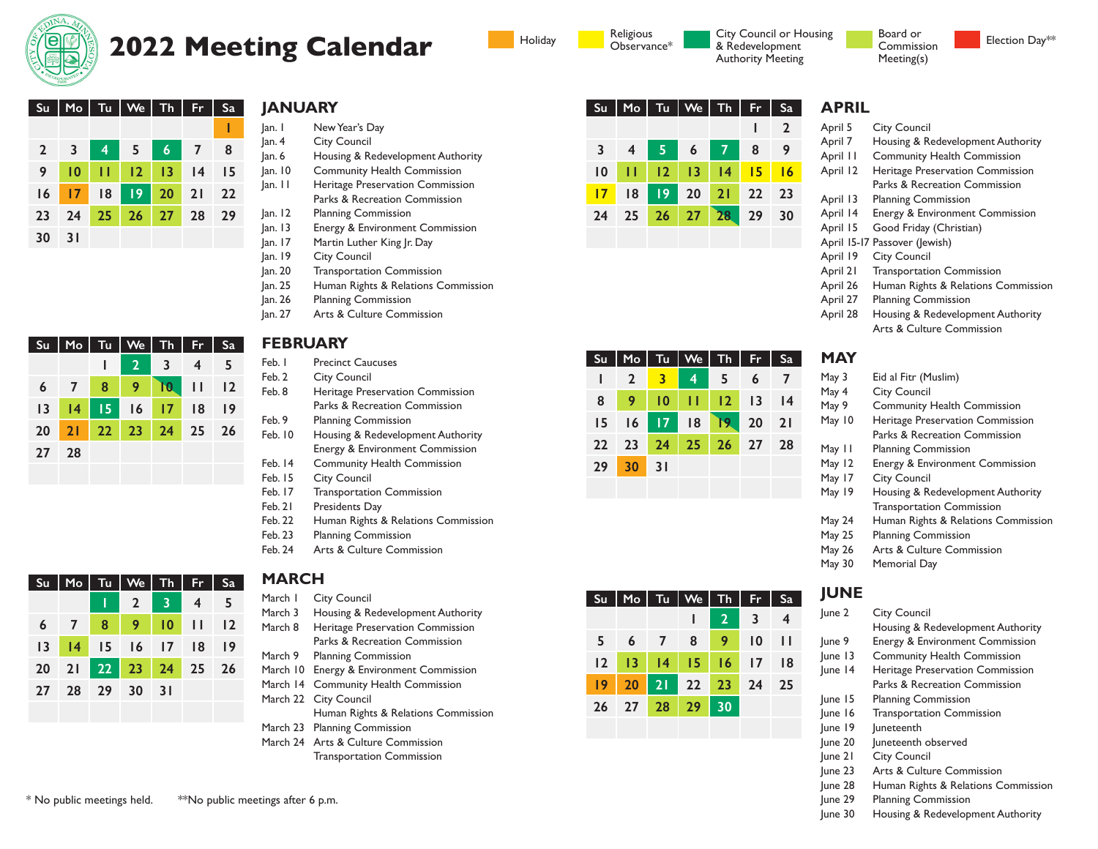

**30 31**

**27 28**

 **3 4 5 6 7 8 10 11 12 13 14 15 17 18 19 20 21 22 24 25 26 27 28 29**

**Su Mo Tu We Th Fr Sa**

**6 7 8 9 11 12 13 14 15 16 17 18 19 20 21 22 23 24 25 26**

**1 2 3 4 5**

**10**

# **2022 Meeting Calendar**

**JANUARY Su Mo Tu We Th Fr Sa**

**1**

- Jan. 1 New Year's Day Jan. 4 City Council
- Jan. 6 Housing & Redevelopment Authority
- Jan. 10 Community Health Commission Jan. 11 Heritage Preservation Commission Parks & Recreation Commission
- Jan. 12 Planning Commission
- Jan. 13 Energy & Environment Commission
- Jan. 17 Martin Luther King Jr. Day
- Jan. 19 City Council
- Jan. 20 Transportation Commission
- Jan. 25 Human Rights & Relations Commission
- Jan. 26 Planning Commission
- Jan. 27 Arts & Culture Commission

### **FEBRUARY**

- Feb. 1 Precinct Caucuses
- Feb. 2 City Council
- Feb. 8 Heritage Preservation Commission Parks & Recreation Commission
- Feb. 9 Planning Commission
- Feb. 10 Housing & Redevelopment Authority Energy & Environment Commission Feb. 14 Community Health Commission
- Feb. 15 City Council
- Feb. 17 Transportation Commission
- Feb. 21 Presidents Day
- Feb. 22 Human Rights & Relations Commission
- Feb. 23 Planning Commission
- Feb. 24 Arts & Culture Commission

| <b>Su</b> | I<br>Mo        | Tu              | $W_e$ Th<br>I   | I                          | Fr                      | Sa |
|-----------|----------------|-----------------|-----------------|----------------------------|-------------------------|----|
|           |                | I               | $\overline{2}$  | $\clubsuit$                | $\overline{\mathbf{4}}$ | 5  |
| 6         | $\overline{7}$ | 8               | 9               | $\blacksquare$ 10          | - 11                    | 12 |
| 13        | 4              | $\overline{15}$ | $\frac{16}{17}$ |                            | - 18                    | 9  |
| 20        |                | $21$ $22$       | 23 24 25        |                            |                         | 26 |
| 27        | 28             | 29              | 30              | $\overline{\phantom{0}31}$ |                         |    |
|           |                |                 |                 |                            |                         |    |

# **MARCH**

- March I City Council
- March 3 Housing & Redevelopment Authority March 8 Heritage Preservation Commission
	- Parks & Recreation Commission
- March 9 Planning Commission
- March 10 Energy & Environment Commission
- March 14 Community Health Commission
- March 22 City Council
	- Human Rights & Relations Commission
- March 23 Planning Commission
- March 24 Arts & Culture Commission Transportation Commission



| Su l |                |                         | $Mo$ $Tu$ $\vee$ $We$ $\vee$ $Th$ | I           | - Fr | I<br>- Sa |
|------|----------------|-------------------------|-----------------------------------|-------------|------|-----------|
|      | $\overline{2}$ | $\overline{\mathbf{3}}$ | $\overline{4}$                    | - 5         | 6    |           |
| 8    | 9              | 10                      |                                   |             |      |           |
| 15   |                | $16$ 17                 | 8                                 | 19          |      |           |
| 22   | 23             | 24                      |                                   | 25 26 27 28 |      |           |
| 29   | 30             | 31                      |                                   |             |      |           |
|      |                |                         |                                   |             |      |           |

| Su             |                      | $M_o$ Tu   We   Th   Fr   Sa |                |           |                |
|----------------|----------------------|------------------------------|----------------|-----------|----------------|
|                |                      |                              | $\overline{2}$ | $\vert$ 3 | $\overline{4}$ |
| 5 <sub>1</sub> | 6 7 8 9 10 11        |                              |                |           |                |
|                | 12 13 14 15 16 17 18 |                              |                |           |                |
| $ 9\rangle$    | 20 21 22 23 24 25    |                              |                |           |                |
|                | 26 27 28 29 30       |                              |                |           |                |
|                |                      |                              |                |           |                |

#### Holiday **Religious** City Council or Housing & Redevelopment Authority Meeting

# Meeting(s)

Board or Commission

| г<br>u<br>ı |  |  |  |
|-------------|--|--|--|
|             |  |  |  |

|  | <b>City Council</b> |
|--|---------------------|

April 7 Housing & Redevelopment Authority

Election Day\*\*

- April 11 Community Health Commission
- April 12 Heritage Preservation Commission Parks & Recreation Commission
- April 13 Planning Commission
- April 14 Energy & Environment Commission
- April 15 Good Friday (Christian)
- April 15-17 Passover (Jewish)
- April 19 City Council
- April 21 Transportation Commission
- April 26 Human Rights & Relations Commission
- April 27 Planning Commission
- April 28 Housing & Redevelopment Authority Arts & Culture Commission

#### **MAY**

May 3 Eid al Fitr (Muslim) May 4 City Council May 9 Community Health Commission May 10 Heritage Preservation Commission Parks & Recreation Commission May 11 Planning Commission May 12 Energy & Environment Commission May 17 City Council May 19 Housing & Redevelopment Authority Transportation Commission May 24 Human Rights & Relations Commission May 25 Planning Commission May 26 Arts & Culture Commission May 30 Memorial Day

# **JUNE**

- June 2 City Council Housing & Redevelopment Authority June 9 Energy & Environment Commission June 13 Community Health Commission June 14 Heritage Preservation Commission Parks & Recreation Commission June 15 Planning Commission June 16 Transportation Commission June 19 Juneteenth June 20 Juneteenth observed June 21 City Council June 23 Arts & Culture Commission June 28 Human Rights & Relations Commission June 29 Planning Commission
- June 30 Housing & Redevelopment Authority